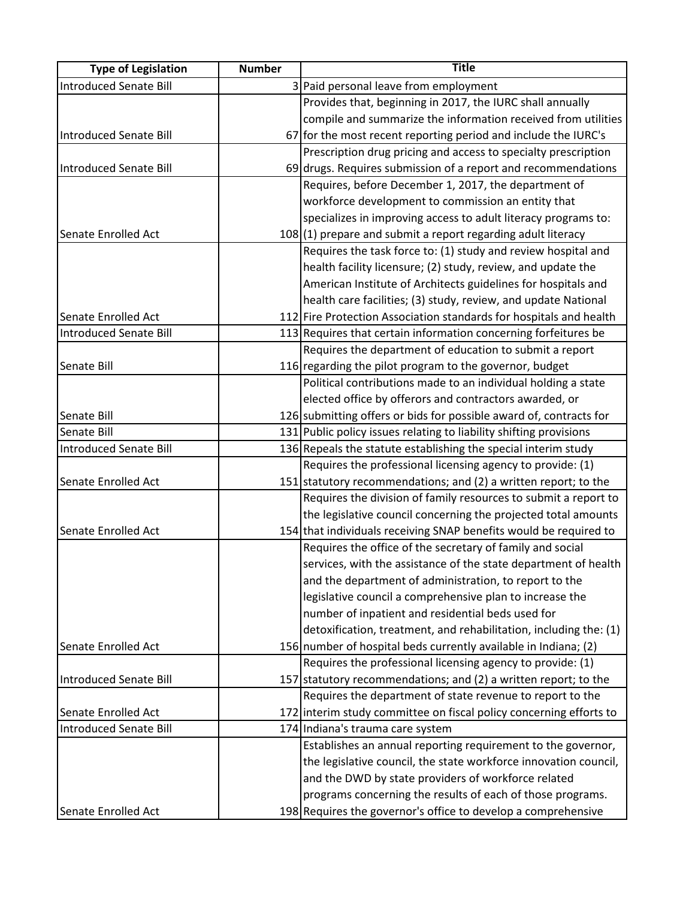| <b>Type of Legislation</b> | <b>Number</b> | <b>Title</b>                                                       |
|----------------------------|---------------|--------------------------------------------------------------------|
| Introduced Senate Bill     |               | 3 Paid personal leave from employment                              |
|                            |               | Provides that, beginning in 2017, the IURC shall annually          |
|                            |               | compile and summarize the information received from utilities      |
| Introduced Senate Bill     |               | 67 for the most recent reporting period and include the IURC's     |
|                            |               | Prescription drug pricing and access to specialty prescription     |
| Introduced Senate Bill     |               | 69 drugs. Requires submission of a report and recommendations      |
|                            |               | Requires, before December 1, 2017, the department of               |
|                            |               | workforce development to commission an entity that                 |
|                            |               | specializes in improving access to adult literacy programs to:     |
| Senate Enrolled Act        |               | 108(1) prepare and submit a report regarding adult literacy        |
|                            |               | Requires the task force to: (1) study and review hospital and      |
|                            |               | health facility licensure; (2) study, review, and update the       |
|                            |               | American Institute of Architects guidelines for hospitals and      |
|                            |               | health care facilities; (3) study, review, and update National     |
| Senate Enrolled Act        |               | 112 Fire Protection Association standards for hospitals and health |
| Introduced Senate Bill     |               | 113 Requires that certain information concerning forfeitures be    |
|                            |               | Requires the department of education to submit a report            |
| Senate Bill                |               | 116 regarding the pilot program to the governor, budget            |
|                            |               | Political contributions made to an individual holding a state      |
|                            |               | elected office by offerors and contractors awarded, or             |
| Senate Bill                |               | 126 submitting offers or bids for possible award of, contracts for |
| Senate Bill                |               | 131 Public policy issues relating to liability shifting provisions |
| Introduced Senate Bill     |               | 136 Repeals the statute establishing the special interim study     |
|                            |               | Requires the professional licensing agency to provide: (1)         |
| Senate Enrolled Act        |               | 151 statutory recommendations; and (2) a written report; to the    |
|                            |               | Requires the division of family resources to submit a report to    |
|                            |               | the legislative council concerning the projected total amounts     |
| Senate Enrolled Act        |               | 154 that individuals receiving SNAP benefits would be required to  |
|                            |               | Requires the office of the secretary of family and social          |
|                            |               | services, with the assistance of the state department of health    |
|                            |               | and the department of administration, to report to the             |
|                            |               | legislative council a comprehensive plan to increase the           |
|                            |               | number of inpatient and residential beds used for                  |
|                            |               | detoxification, treatment, and rehabilitation, including the: (1)  |
| Senate Enrolled Act        |               | 156 number of hospital beds currently available in Indiana; (2)    |
|                            |               | Requires the professional licensing agency to provide: (1)         |
| Introduced Senate Bill     |               | 157 statutory recommendations; and (2) a written report; to the    |
|                            |               | Requires the department of state revenue to report to the          |
| Senate Enrolled Act        |               | 172 interim study committee on fiscal policy concerning efforts to |
| Introduced Senate Bill     |               | 174 Indiana's trauma care system                                   |
|                            |               | Establishes an annual reporting requirement to the governor,       |
|                            |               | the legislative council, the state workforce innovation council,   |
|                            |               | and the DWD by state providers of workforce related                |
|                            |               | programs concerning the results of each of those programs.         |
| Senate Enrolled Act        |               | 198 Requires the governor's office to develop a comprehensive      |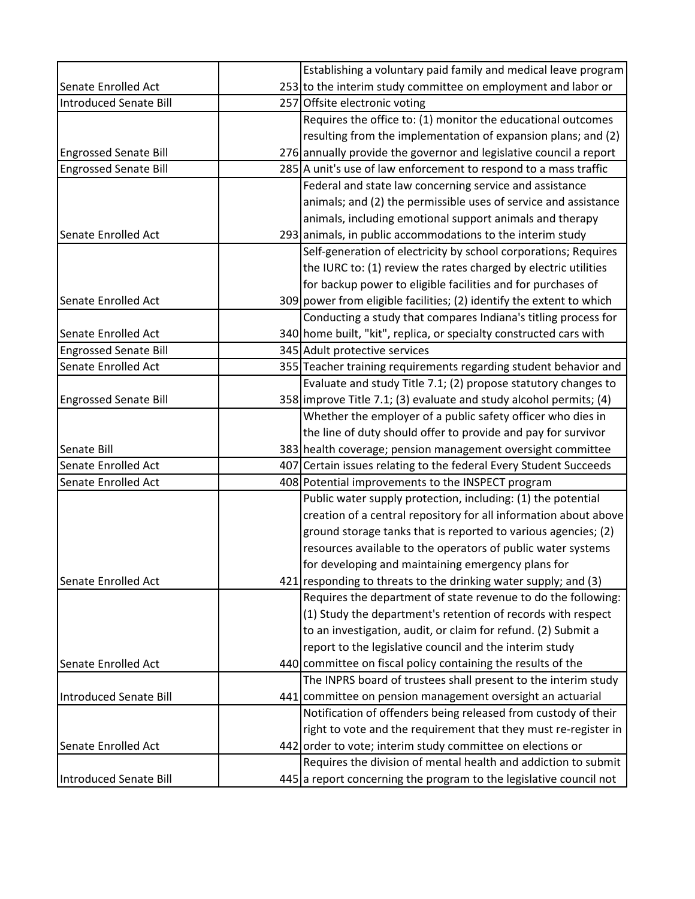|                               | Establishing a voluntary paid family and medical leave program       |
|-------------------------------|----------------------------------------------------------------------|
| Senate Enrolled Act           | 253 to the interim study committee on employment and labor or        |
| <b>Introduced Senate Bill</b> | 257 Offsite electronic voting                                        |
|                               | Requires the office to: (1) monitor the educational outcomes         |
|                               | resulting from the implementation of expansion plans; and (2)        |
| <b>Engrossed Senate Bill</b>  | 276 annually provide the governor and legislative council a report   |
| <b>Engrossed Senate Bill</b>  | 285 A unit's use of law enforcement to respond to a mass traffic     |
|                               | Federal and state law concerning service and assistance              |
|                               | animals; and (2) the permissible uses of service and assistance      |
|                               | animals, including emotional support animals and therapy             |
| Senate Enrolled Act           | 293 animals, in public accommodations to the interim study           |
|                               | Self-generation of electricity by school corporations; Requires      |
|                               | the IURC to: (1) review the rates charged by electric utilities      |
|                               | for backup power to eligible facilities and for purchases of         |
| Senate Enrolled Act           | 309 power from eligible facilities; (2) identify the extent to which |
|                               | Conducting a study that compares Indiana's titling process for       |
| Senate Enrolled Act           | 340 home built, "kit", replica, or specialty constructed cars with   |
| <b>Engrossed Senate Bill</b>  | 345 Adult protective services                                        |
| Senate Enrolled Act           | 355 Teacher training requirements regarding student behavior and     |
|                               | Evaluate and study Title 7.1; (2) propose statutory changes to       |
| <b>Engrossed Senate Bill</b>  | 358 improve Title 7.1; (3) evaluate and study alcohol permits; (4)   |
|                               | Whether the employer of a public safety officer who dies in          |
|                               | the line of duty should offer to provide and pay for survivor        |
| Senate Bill                   | 383 health coverage; pension management oversight committee          |
| <b>Senate Enrolled Act</b>    | 407 Certain issues relating to the federal Every Student Succeeds    |
| Senate Enrolled Act           | 408 Potential improvements to the INSPECT program                    |
|                               | Public water supply protection, including: (1) the potential         |
|                               | creation of a central repository for all information about above     |
|                               | ground storage tanks that is reported to various agencies; (2)       |
|                               | resources available to the operators of public water systems         |
|                               | for developing and maintaining emergency plans for                   |
| Senate Enrolled Act           | $421$ responding to threats to the drinking water supply; and (3)    |
|                               | Requires the department of state revenue to do the following:        |
|                               | (1) Study the department's retention of records with respect         |
|                               | to an investigation, audit, or claim for refund. (2) Submit a        |
|                               | report to the legislative council and the interim study              |
| <b>Senate Enrolled Act</b>    | 440 committee on fiscal policy containing the results of the         |
|                               | The INPRS board of trustees shall present to the interim study       |
| Introduced Senate Bill        | 441 committee on pension management oversight an actuarial           |
|                               | Notification of offenders being released from custody of their       |
|                               | right to vote and the requirement that they must re-register in      |
| Senate Enrolled Act           | 442 order to vote; interim study committee on elections or           |
|                               | Requires the division of mental health and addiction to submit       |
|                               |                                                                      |
| Introduced Senate Bill        | 445 a report concerning the program to the legislative council not   |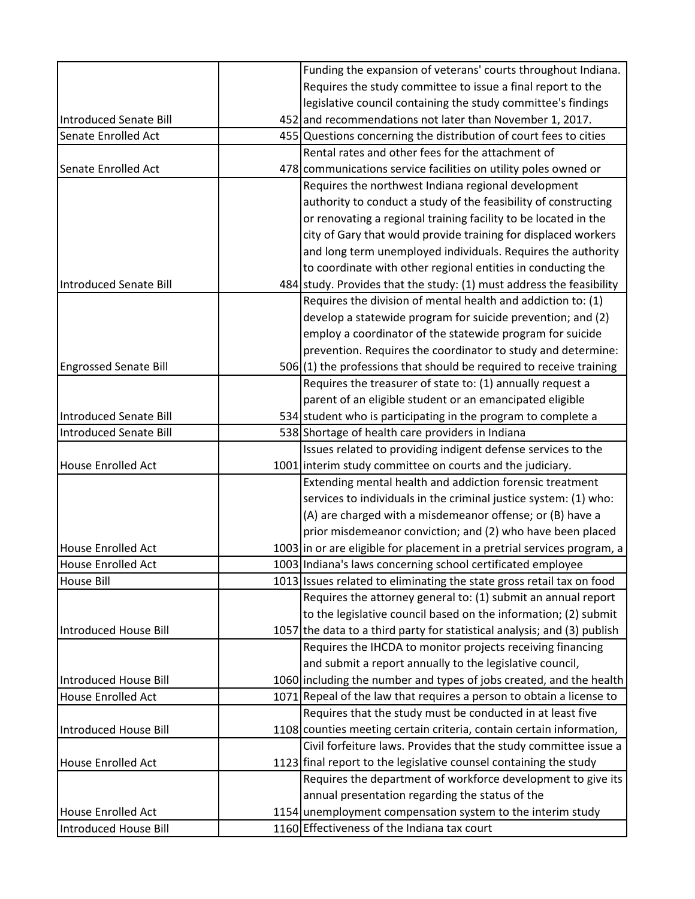|                              | Funding the expansion of veterans' courts throughout Indiana.            |
|------------------------------|--------------------------------------------------------------------------|
|                              | Requires the study committee to issue a final report to the              |
|                              | legislative council containing the study committee's findings            |
| Introduced Senate Bill       | 452 and recommendations not later than November 1, 2017.                 |
| Senate Enrolled Act          | 455 Questions concerning the distribution of court fees to cities        |
|                              | Rental rates and other fees for the attachment of                        |
| Senate Enrolled Act          | 478 communications service facilities on utility poles owned or          |
|                              | Requires the northwest Indiana regional development                      |
|                              | authority to conduct a study of the feasibility of constructing          |
|                              | or renovating a regional training facility to be located in the          |
|                              | city of Gary that would provide training for displaced workers           |
|                              | and long term unemployed individuals. Requires the authority             |
|                              | to coordinate with other regional entities in conducting the             |
| Introduced Senate Bill       | 484 study. Provides that the study: (1) must address the feasibility     |
|                              | Requires the division of mental health and addiction to: (1)             |
|                              | develop a statewide program for suicide prevention; and (2)              |
|                              | employ a coordinator of the statewide program for suicide                |
|                              | prevention. Requires the coordinator to study and determine:             |
| <b>Engrossed Senate Bill</b> | $506(1)$ the professions that should be required to receive training     |
|                              | Requires the treasurer of state to: (1) annually request a               |
|                              | parent of an eligible student or an emancipated eligible                 |
| Introduced Senate Bill       | 534 student who is participating in the program to complete a            |
| Introduced Senate Bill       | 538 Shortage of health care providers in Indiana                         |
|                              | Issues related to providing indigent defense services to the             |
| House Enrolled Act           | 1001 interim study committee on courts and the judiciary.                |
|                              | Extending mental health and addiction forensic treatment                 |
|                              | services to individuals in the criminal justice system: (1) who:         |
|                              | (A) are charged with a misdemeanor offense; or (B) have a                |
|                              | prior misdemeanor conviction; and (2) who have been placed               |
| <b>House Enrolled Act</b>    | 1003 in or are eligible for placement in a pretrial services program, a  |
| <b>House Enrolled Act</b>    | 1003 Indiana's laws concerning school certificated employee              |
| <b>House Bill</b>            | 1013 Issues related to eliminating the state gross retail tax on food    |
|                              | Requires the attorney general to: (1) submit an annual report            |
|                              | to the legislative council based on the information; (2) submit          |
| Introduced House Bill        | 1057 the data to a third party for statistical analysis; and (3) publish |
|                              | Requires the IHCDA to monitor projects receiving financing               |
|                              | and submit a report annually to the legislative council,                 |
| Introduced House Bill        | 1060 including the number and types of jobs created, and the health      |
| <b>House Enrolled Act</b>    | 1071 Repeal of the law that requires a person to obtain a license to     |
|                              | Requires that the study must be conducted in at least five               |
| Introduced House Bill        | 1108 counties meeting certain criteria, contain certain information,     |
|                              | Civil forfeiture laws. Provides that the study committee issue a         |
| <b>House Enrolled Act</b>    | 1123 final report to the legislative counsel containing the study        |
|                              | Requires the department of workforce development to give its             |
|                              | annual presentation regarding the status of the                          |
| <b>House Enrolled Act</b>    | 1154 unemployment compensation system to the interim study               |
| Introduced House Bill        | 1160 Effectiveness of the Indiana tax court                              |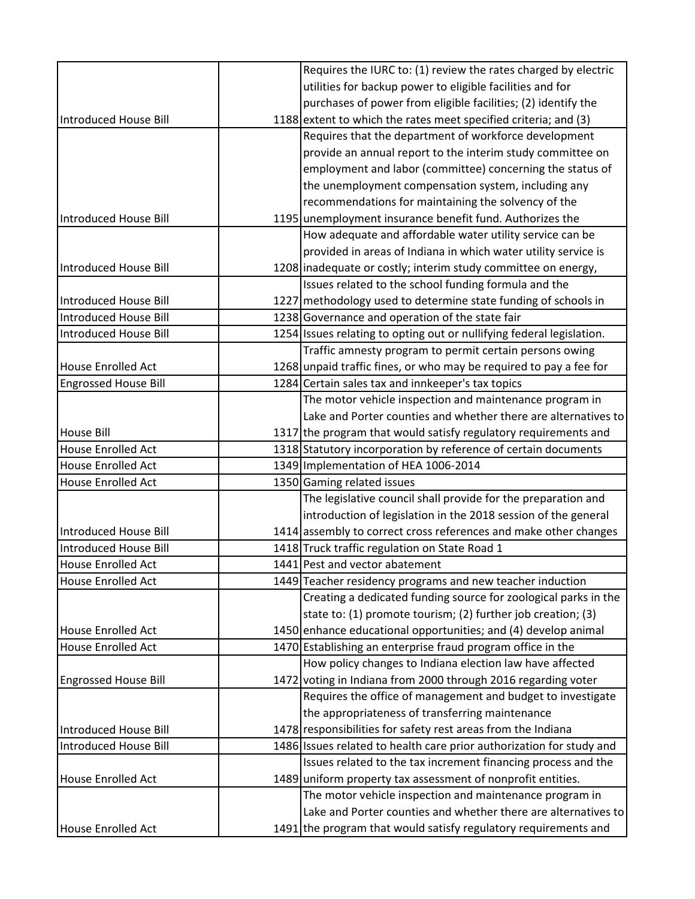|                              | Requires the IURC to: (1) review the rates charged by electric        |
|------------------------------|-----------------------------------------------------------------------|
|                              | utilities for backup power to eligible facilities and for             |
|                              | purchases of power from eligible facilities; (2) identify the         |
| Introduced House Bill        | 1188 extent to which the rates meet specified criteria; and (3)       |
|                              | Requires that the department of workforce development                 |
|                              | provide an annual report to the interim study committee on            |
|                              | employment and labor (committee) concerning the status of             |
|                              | the unemployment compensation system, including any                   |
|                              | recommendations for maintaining the solvency of the                   |
| Introduced House Bill        | 1195 unemployment insurance benefit fund. Authorizes the              |
|                              | How adequate and affordable water utility service can be              |
|                              | provided in areas of Indiana in which water utility service is        |
| Introduced House Bill        | 1208 inadequate or costly; interim study committee on energy,         |
|                              | Issues related to the school funding formula and the                  |
| Introduced House Bill        | 1227 methodology used to determine state funding of schools in        |
| <b>Introduced House Bill</b> | 1238 Governance and operation of the state fair                       |
| Introduced House Bill        | 1254 Issues relating to opting out or nullifying federal legislation. |
|                              | Traffic amnesty program to permit certain persons owing               |
| <b>House Enrolled Act</b>    | 1268 unpaid traffic fines, or who may be required to pay a fee for    |
| <b>Engrossed House Bill</b>  | 1284 Certain sales tax and innkeeper's tax topics                     |
|                              | The motor vehicle inspection and maintenance program in               |
|                              | Lake and Porter counties and whether there are alternatives to        |
| <b>House Bill</b>            | 1317 the program that would satisfy regulatory requirements and       |
| <b>House Enrolled Act</b>    | 1318 Statutory incorporation by reference of certain documents        |
| <b>House Enrolled Act</b>    | 1349 Implementation of HEA 1006-2014                                  |
| <b>House Enrolled Act</b>    | 1350 Gaming related issues                                            |
|                              | The legislative council shall provide for the preparation and         |
|                              | introduction of legislation in the 2018 session of the general        |
| Introduced House Bill        | 1414 assembly to correct cross references and make other changes      |
| Introduced House Bill        | 1418 Truck traffic regulation on State Road 1                         |
| <b>House Enrolled Act</b>    | 1441 Pest and vector abatement                                        |
| <b>House Enrolled Act</b>    | 1449 Teacher residency programs and new teacher induction             |
|                              | Creating a dedicated funding source for zoological parks in the       |
|                              | state to: (1) promote tourism; (2) further job creation; (3)          |
| <b>House Enrolled Act</b>    | 1450 enhance educational opportunities; and (4) develop animal        |
| <b>House Enrolled Act</b>    | 1470 Establishing an enterprise fraud program office in the           |
|                              | How policy changes to Indiana election law have affected              |
| <b>Engrossed House Bill</b>  | 1472 voting in Indiana from 2000 through 2016 regarding voter         |
|                              | Requires the office of management and budget to investigate           |
|                              | the appropriateness of transferring maintenance                       |
| Introduced House Bill        | 1478 responsibilities for safety rest areas from the Indiana          |
| Introduced House Bill        | 1486 Issues related to health care prior authorization for study and  |
|                              | Issues related to the tax increment financing process and the         |
| <b>House Enrolled Act</b>    | 1489 uniform property tax assessment of nonprofit entities.           |
|                              | The motor vehicle inspection and maintenance program in               |
|                              | Lake and Porter counties and whether there are alternatives to        |
| <b>House Enrolled Act</b>    | 1491 the program that would satisfy regulatory requirements and       |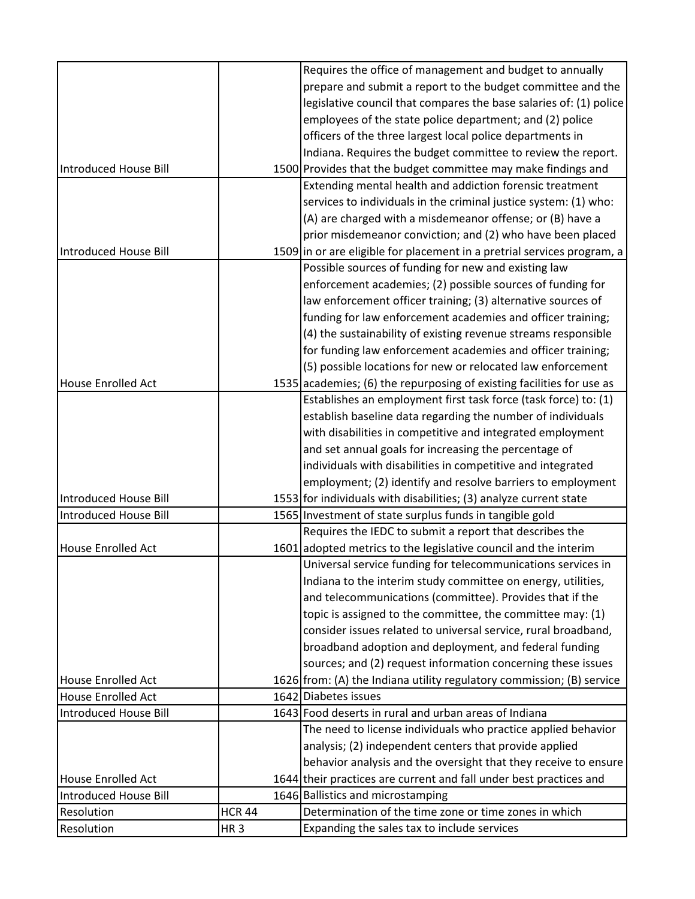|                           |                 | Requires the office of management and budget to annually                                                                  |
|---------------------------|-----------------|---------------------------------------------------------------------------------------------------------------------------|
|                           |                 | prepare and submit a report to the budget committee and the                                                               |
|                           |                 | legislative council that compares the base salaries of: (1) police                                                        |
|                           |                 | employees of the state police department; and (2) police                                                                  |
|                           |                 | officers of the three largest local police departments in                                                                 |
|                           |                 |                                                                                                                           |
| Introduced House Bill     |                 | Indiana. Requires the budget committee to review the report.                                                              |
|                           |                 | 1500 Provides that the budget committee may make findings and<br>Extending mental health and addiction forensic treatment |
|                           |                 |                                                                                                                           |
|                           |                 | services to individuals in the criminal justice system: (1) who:                                                          |
|                           |                 | (A) are charged with a misdemeanor offense; or (B) have a                                                                 |
|                           |                 | prior misdemeanor conviction; and (2) who have been placed                                                                |
| Introduced House Bill     |                 | 1509 in or are eligible for placement in a pretrial services program, a                                                   |
|                           |                 | Possible sources of funding for new and existing law                                                                      |
|                           |                 | enforcement academies; (2) possible sources of funding for                                                                |
|                           |                 | law enforcement officer training; (3) alternative sources of                                                              |
|                           |                 | funding for law enforcement academies and officer training;                                                               |
|                           |                 | (4) the sustainability of existing revenue streams responsible                                                            |
|                           |                 | for funding law enforcement academies and officer training;                                                               |
|                           |                 | (5) possible locations for new or relocated law enforcement                                                               |
| <b>House Enrolled Act</b> |                 | 1535 academies; (6) the repurposing of existing facilities for use as                                                     |
|                           |                 | Establishes an employment first task force (task force) to: (1)                                                           |
|                           |                 | establish baseline data regarding the number of individuals                                                               |
|                           |                 | with disabilities in competitive and integrated employment                                                                |
|                           |                 | and set annual goals for increasing the percentage of                                                                     |
|                           |                 | individuals with disabilities in competitive and integrated                                                               |
|                           |                 | employment; (2) identify and resolve barriers to employment                                                               |
| Introduced House Bill     |                 | 1553 for individuals with disabilities; (3) analyze current state                                                         |
| Introduced House Bill     |                 | 1565 Investment of state surplus funds in tangible gold                                                                   |
|                           |                 | Requires the IEDC to submit a report that describes the                                                                   |
| <b>House Enrolled Act</b> |                 | 1601 adopted metrics to the legislative council and the interim                                                           |
|                           |                 | Universal service funding for telecommunications services in                                                              |
|                           |                 | Indiana to the interim study committee on energy, utilities,                                                              |
|                           |                 | and telecommunications (committee). Provides that if the                                                                  |
|                           |                 | topic is assigned to the committee, the committee may: (1)                                                                |
|                           |                 | consider issues related to universal service, rural broadband,                                                            |
|                           |                 | broadband adoption and deployment, and federal funding                                                                    |
|                           |                 | sources; and (2) request information concerning these issues                                                              |
| <b>House Enrolled Act</b> |                 | 1626 from: (A) the Indiana utility regulatory commission; (B) service                                                     |
| <b>House Enrolled Act</b> |                 | 1642 Diabetes issues                                                                                                      |
| Introduced House Bill     |                 | 1643 Food deserts in rural and urban areas of Indiana                                                                     |
|                           |                 | The need to license individuals who practice applied behavior                                                             |
|                           |                 | analysis; (2) independent centers that provide applied                                                                    |
|                           |                 | behavior analysis and the oversight that they receive to ensure                                                           |
| <b>House Enrolled Act</b> |                 | 1644 their practices are current and fall under best practices and                                                        |
| Introduced House Bill     |                 | 1646 Ballistics and microstamping                                                                                         |
| Resolution                | <b>HCR 44</b>   | Determination of the time zone or time zones in which                                                                     |
| Resolution                |                 | Expanding the sales tax to include services                                                                               |
|                           | HR <sub>3</sub> |                                                                                                                           |